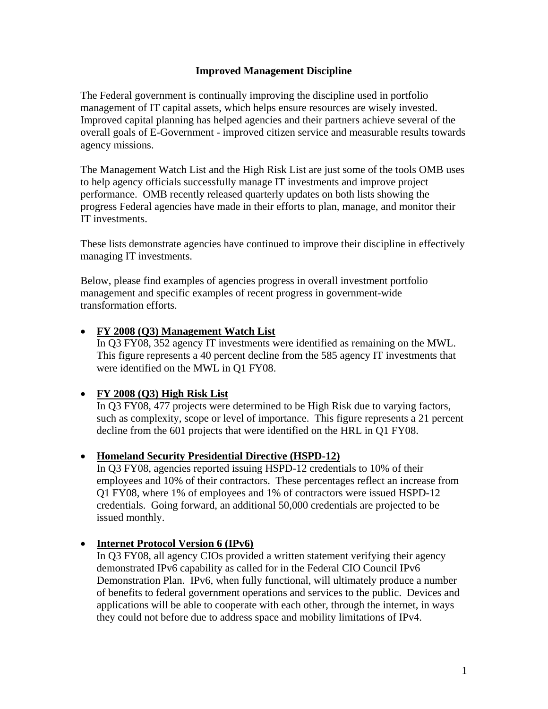### **Improved Management Discipline**

The Federal government is continually improving the discipline used in portfolio management of IT capital assets, which helps ensure resources are wisely invested. Improved capital planning has helped agencies and their partners achieve several of the overall goals of E-Government - improved citizen service and measurable results towards agency missions.

The Management Watch List and the High Risk List are just some of the tools OMB uses to help agency officials successfully manage IT investments and improve project performance. OMB recently released quarterly updates on both lists showing the progress Federal agencies have made in their efforts to plan, manage, and monitor their IT investments.

These lists demonstrate agencies have continued to improve their discipline in effectively managing IT investments.

Below, please find examples of agencies progress in overall investment portfolio management and specific examples of recent progress in government-wide transformation efforts.

### • **FY 2008 (Q3) Management Watch List**

In Q3 FY08, 352 agency IT investments were identified as remaining on the MWL. This figure represents a 40 percent decline from the 585 agency IT investments that were identified on the MWL in Q1 FY08.

## • **FY 2008 (Q3) High Risk List**

In Q3 FY08, 477 projects were determined to be High Risk due to varying factors, such as complexity, scope or level of importance. This figure represents a 21 percent decline from the 601 projects that were identified on the HRL in Q1 FY08.

#### • **Homeland Security Presidential Directive (HSPD-12)**

In Q3 FY08, agencies reported issuing HSPD-12 credentials to 10% of their employees and 10% of their contractors. These percentages reflect an increase from Q1 FY08, where 1% of employees and 1% of contractors were issued HSPD-12 credentials. Going forward, an additional 50,000 credentials are projected to be issued monthly.

## • **Internet Protocol Version 6 (IPv6)**

In Q3 FY08, all agency CIOs provided a written statement verifying their agency demonstrated IPv6 capability as called for in the Federal CIO Council IPv6 Demonstration Plan. IPv6, when fully functional, will ultimately produce a number of benefits to federal government operations and services to the public. Devices and applications will be able to cooperate with each other, through the internet, in ways they could not before due to address space and mobility limitations of IPv4.